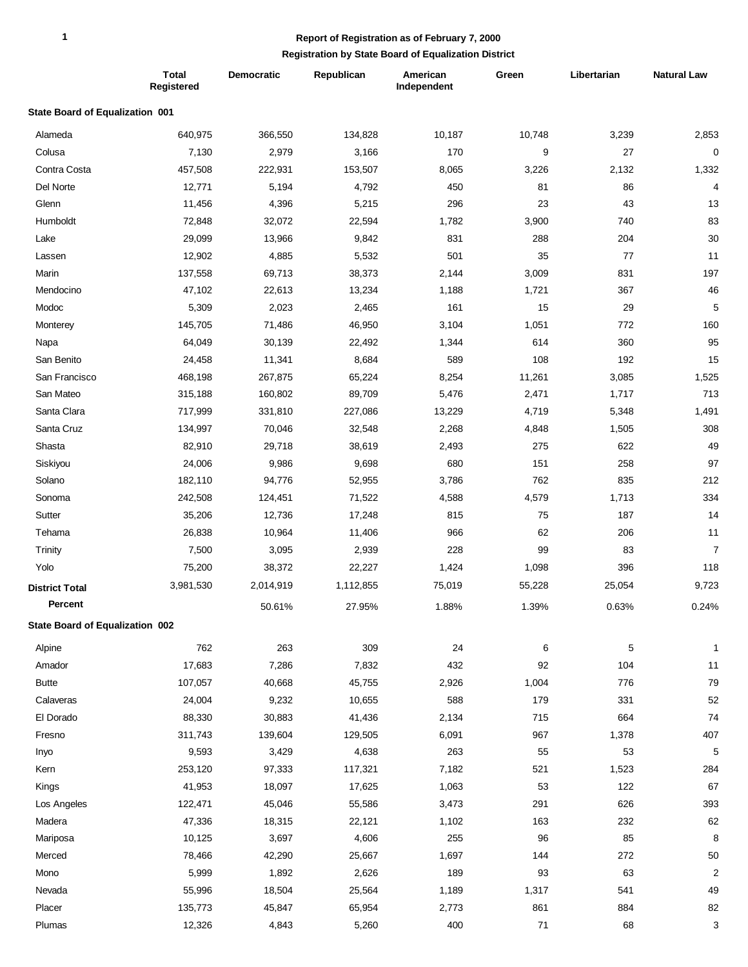## **Report of Registration as of February 7, 2000**

## **Registration by State Board of Equalization District**

|                                 | <b>Total</b><br>Registered | <b>Democratic</b> | Republican | American<br>Independent | Green  | Libertarian | <b>Natural Law</b> |
|---------------------------------|----------------------------|-------------------|------------|-------------------------|--------|-------------|--------------------|
| State Board of Equalization 001 |                            |                   |            |                         |        |             |                    |
| Alameda                         | 640,975                    | 366,550           | 134,828    | 10,187                  | 10,748 | 3,239       | 2,853              |
| Colusa                          | 7,130                      | 2,979             | 3,166      | 170                     | 9      | 27          | $\mathbf 0$        |
| Contra Costa                    | 457,508                    | 222,931           | 153,507    | 8,065                   | 3,226  | 2,132       | 1,332              |
| Del Norte                       | 12,771                     | 5,194             | 4,792      | 450                     | 81     | 86          | $\overline{4}$     |
| Glenn                           | 11,456                     | 4,396             | 5,215      | 296                     | 23     | 43          | 13                 |
| Humboldt                        | 72,848                     | 32,072            | 22,594     | 1,782                   | 3,900  | 740         | 83                 |
| Lake                            | 29,099                     | 13,966            | 9,842      | 831                     | 288    | 204         | 30                 |
| Lassen                          | 12,902                     | 4,885             | 5,532      | 501                     | 35     | 77          | 11                 |
| Marin                           | 137,558                    | 69,713            | 38,373     | 2,144                   | 3,009  | 831         | 197                |
| Mendocino                       | 47,102                     | 22,613            | 13,234     | 1,188                   | 1,721  | 367         | 46                 |
| Modoc                           | 5,309                      | 2,023             | 2,465      | 161                     | 15     | 29          | 5                  |
| Monterey                        | 145,705                    | 71,486            | 46,950     | 3,104                   | 1,051  | 772         | 160                |
| Napa                            | 64,049                     | 30,139            | 22,492     | 1,344                   | 614    | 360         | 95                 |
| San Benito                      | 24,458                     | 11,341            | 8,684      | 589                     | 108    | 192         | 15                 |
| San Francisco                   | 468,198                    | 267,875           | 65,224     | 8,254                   | 11,261 | 3,085       | 1,525              |
| San Mateo                       | 315,188                    | 160,802           | 89,709     | 5,476                   | 2,471  | 1,717       | 713                |
| Santa Clara                     | 717,999                    | 331,810           | 227,086    | 13,229                  | 4,719  | 5,348       | 1,491              |
| Santa Cruz                      | 134,997                    | 70,046            | 32,548     | 2,268                   | 4,848  | 1,505       | 308                |
| Shasta                          | 82,910                     | 29,718            | 38,619     | 2,493                   | 275    | 622         | 49                 |
| Siskiyou                        | 24,006                     | 9,986             | 9,698      | 680                     | 151    | 258         | 97                 |
| Solano                          | 182,110                    | 94,776            | 52,955     | 3,786                   | 762    | 835         | 212                |
| Sonoma                          | 242,508                    | 124,451           | 71,522     | 4,588                   | 4,579  | 1,713       | 334                |
| Sutter                          | 35,206                     | 12,736            | 17,248     | 815                     | 75     | 187         | 14                 |
| Tehama                          | 26,838                     | 10,964            | 11,406     | 966                     | 62     | 206         | 11                 |
| Trinity                         | 7,500                      | 3,095             | 2,939      | 228                     | 99     | 83          | $\overline{7}$     |
| Yolo                            | 75,200                     | 38,372            | 22,227     | 1,424                   | 1,098  | 396         | 118                |
| <b>District Total</b>           | 3,981,530                  | 2,014,919         | 1,112,855  | 75,019                  | 55,228 | 25,054      | 9,723              |
| Percent                         |                            | 50.61%            | 27.95%     | 1.88%                   | 1.39%  | 0.63%       | 0.24%              |
| State Board of Equalization 002 |                            |                   |            |                         |        |             |                    |
| Alpine                          | 762                        | 263               | 309        | 24                      | 6      | 5           | 1                  |
| Amador                          | 17,683                     | 7,286             | 7,832      | 432                     | 92     | 104         | $11$               |
| <b>Butte</b>                    | 107,057                    | 40,668            | 45,755     | 2,926                   | 1,004  | 776         | 79                 |
| Calaveras                       | 24,004                     | 9,232             | 10,655     | 588                     | 179    | 331         | 52                 |
| El Dorado                       | 88,330                     | 30,883            | 41,436     | 2,134                   | 715    | 664         | 74                 |
| Fresno                          | 311,743                    | 139,604           | 129,505    | 6,091                   | 967    | 1,378       | 407                |
| Inyo                            | 9,593                      | 3,429             | 4,638      | 263                     | 55     | 53          | 5                  |
| Kern                            | 253,120                    | 97,333            | 117,321    | 7,182                   | 521    | 1,523       | 284                |
| Kings                           | 41,953                     | 18,097            | 17,625     | 1,063                   | 53     | 122         | 67                 |
| Los Angeles                     | 122,471                    | 45,046            | 55,586     | 3,473                   | 291    | 626         | 393                |
| Madera                          | 47,336                     | 18,315            | 22,121     | 1,102                   | 163    | 232         | 62                 |
| Mariposa                        | 10,125                     | 3,697             | 4,606      | 255                     | 96     | 85          | 8                  |
| Merced                          | 78,466                     | 42,290            | 25,667     | 1,697                   | 144    | 272         | 50                 |
| Mono                            | 5,999                      | 1,892             | 2,626      | 189                     | 93     | 63          | $\overline{2}$     |
| Nevada                          | 55,996                     | 18,504            | 25,564     | 1,189                   | 1,317  | 541         | 49                 |
| Placer                          | 135,773                    | 45,847            | 65,954     | 2,773                   | 861    | 884         | 82                 |
| Plumas                          | 12,326                     | 4,843             | 5,260      | 400                     | 71     | 68          | 3                  |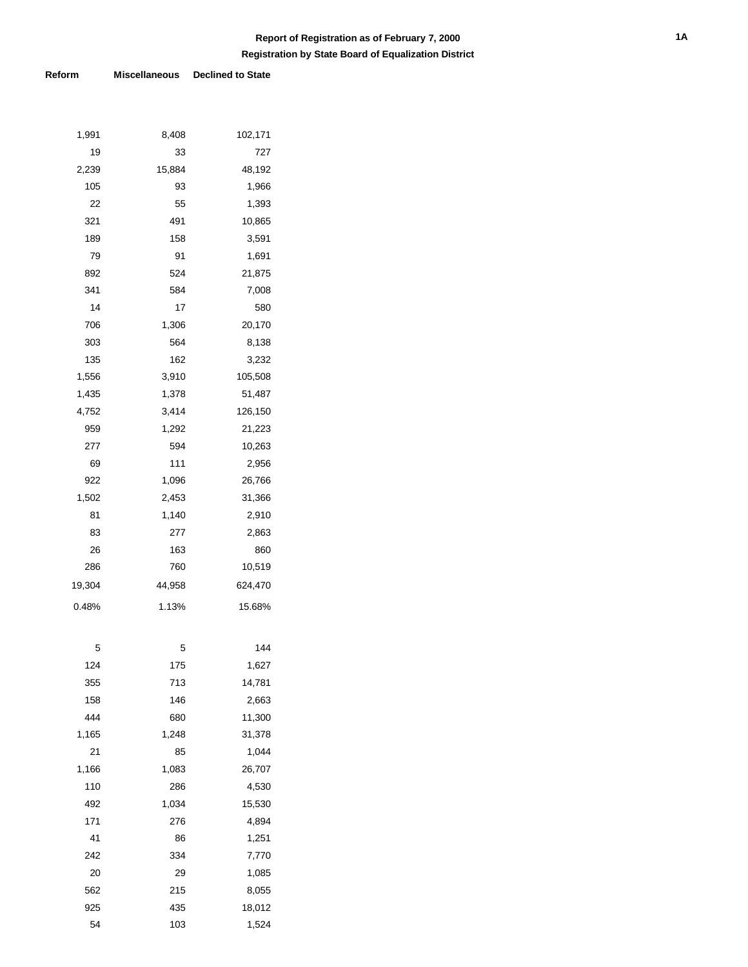# **Registration by State Board of Equalization District Report of Registration as of February 7, 2000**

### **Reform Miscellaneous Declined to State**

| 1,991  | 8,408  | 102,171 |
|--------|--------|---------|
| 19     | 33     | 727     |
| 2,239  | 15,884 | 48,192  |
| 105    | 93     | 1,966   |
| 22     | 55     | 1,393   |
| 321    | 491    | 10,865  |
| 189    | 158    | 3,591   |
| 79     | 91     | 1,691   |
| 892    | 524    | 21,875  |
| 341    | 584    | 7,008   |
| 14     | 17     | 580     |
| 706    | 1,306  | 20,170  |
| 303    | 564    | 8,138   |
| 135    | 162    | 3,232   |
| 1,556  | 3,910  | 105,508 |
| 1,435  | 1,378  | 51,487  |
| 4,752  | 3,414  | 126,150 |
| 959    | 1,292  | 21,223  |
| 277    | 594    | 10,263  |
| 69     | 111    | 2,956   |
| 922    | 1,096  | 26,766  |
| 1,502  | 2,453  | 31,366  |
| 81     | 1,140  | 2,910   |
| 83     | 277    | 2,863   |
| 26     | 163    | 860     |
| 286    | 760    | 10,519  |
| 19,304 | 44,958 | 624,470 |
| 0.48%  | 1.13%  | 15.68%  |
|        |        |         |
| 5      | 5      | 144     |
| 124    | 175    | 1,627   |
| 355    | 713    | 14,781  |
| 158    | 146    | 2,663   |
| 444    | 680    | 11,300  |
| 1,165  | 1,248  | 31,378  |
| 21     | 85     | 1,044   |
| 1,166  | 1,083  | 26,707  |
| 110    | 286    | 4,530   |
| 492    | 1,034  | 15,530  |
| 171    | 276    | 4,894   |
| 41     | 86     | 1,251   |
| 242    | 334    | 7,770   |
| 20     | 29     | 1,085   |
| 562    | 215    | 8,055   |
| 925    | 435    | 18,012  |
| 54     | 103    | 1,524   |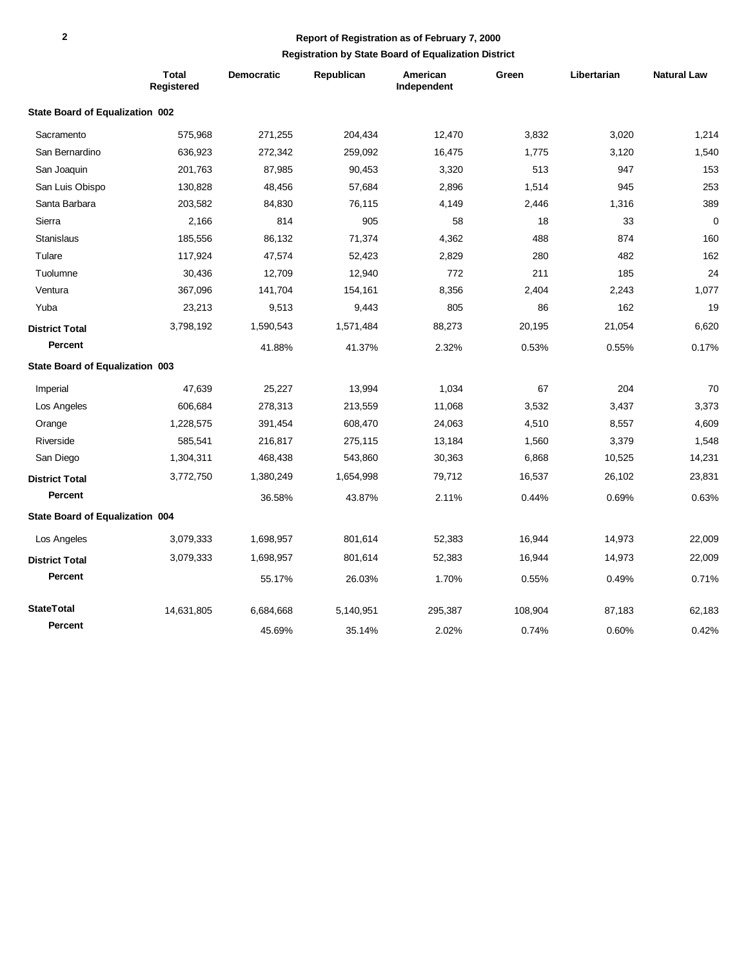# **Report of Registration as of February 7, 2000**

## **Registration by State Board of Equalization District**

|                                        | <b>Total</b><br>Registered | <b>Democratic</b> | Republican | American<br>Independent | Green   | Libertarian | <b>Natural Law</b> |
|----------------------------------------|----------------------------|-------------------|------------|-------------------------|---------|-------------|--------------------|
| State Board of Equalization 002        |                            |                   |            |                         |         |             |                    |
| Sacramento                             | 575,968                    | 271,255           | 204,434    | 12,470                  | 3,832   | 3,020       | 1,214              |
| San Bernardino                         | 636,923                    | 272,342           | 259,092    | 16,475                  | 1,775   | 3,120       | 1,540              |
| San Joaquin                            | 201,763                    | 87,985            | 90,453     | 3,320                   | 513     | 947         | 153                |
| San Luis Obispo                        | 130,828                    | 48,456            | 57,684     | 2.896                   | 1,514   | 945         | 253                |
| Santa Barbara                          | 203,582                    | 84,830            | 76,115     | 4,149                   | 2,446   | 1,316       | 389                |
| Sierra                                 | 2,166                      | 814               | 905        | 58                      | 18      | 33          | $\mathbf 0$        |
| <b>Stanislaus</b>                      | 185,556                    | 86,132            | 71,374     | 4,362                   | 488     | 874         | 160                |
| Tulare                                 | 117,924                    | 47,574            | 52,423     | 2,829                   | 280     | 482         | 162                |
| Tuolumne                               | 30,436                     | 12,709            | 12,940     | 772                     | 211     | 185         | 24                 |
| Ventura                                | 367,096                    | 141,704           | 154,161    | 8,356                   | 2,404   | 2,243       | 1,077              |
| Yuba                                   | 23,213                     | 9,513             | 9,443      | 805                     | 86      | 162         | 19                 |
| <b>District Total</b>                  | 3,798,192                  | 1,590,543         | 1,571,484  | 88,273                  | 20,195  | 21,054      | 6,620              |
| <b>Percent</b>                         |                            | 41.88%            | 41.37%     | 2.32%                   | 0.53%   | 0.55%       | 0.17%              |
| State Board of Equalization 003        |                            |                   |            |                         |         |             |                    |
| Imperial                               | 47,639                     | 25,227            | 13,994     | 1,034                   | 67      | 204         | 70                 |
| Los Angeles                            | 606,684                    | 278,313           | 213,559    | 11,068                  | 3,532   | 3,437       | 3,373              |
| Orange                                 | 1,228,575                  | 391,454           | 608,470    | 24,063                  | 4,510   | 8,557       | 4,609              |
| Riverside                              | 585,541                    | 216,817           | 275,115    | 13,184                  | 1,560   | 3,379       | 1,548              |
| San Diego                              | 1,304,311                  | 468,438           | 543,860    | 30,363                  | 6,868   | 10,525      | 14,231             |
| <b>District Total</b>                  | 3,772,750                  | 1,380,249         | 1,654,998  | 79,712                  | 16,537  | 26,102      | 23,831             |
| Percent                                |                            | 36.58%            | 43.87%     | 2.11%                   | 0.44%   | 0.69%       | 0.63%              |
| <b>State Board of Equalization 004</b> |                            |                   |            |                         |         |             |                    |
| Los Angeles                            | 3,079,333                  | 1,698,957         | 801,614    | 52,383                  | 16,944  | 14,973      | 22,009             |
| <b>District Total</b>                  | 3,079,333                  | 1,698,957         | 801,614    | 52,383                  | 16,944  | 14,973      | 22,009             |
| Percent                                |                            | 55.17%            | 26.03%     | 1.70%                   | 0.55%   | 0.49%       | 0.71%              |
| <b>StateTotal</b>                      | 14,631,805                 | 6,684,668         | 5,140,951  | 295,387                 | 108,904 | 87,183      | 62,183             |
| Percent                                |                            | 45.69%            | 35.14%     | 2.02%                   | 0.74%   | 0.60%       | 0.42%              |